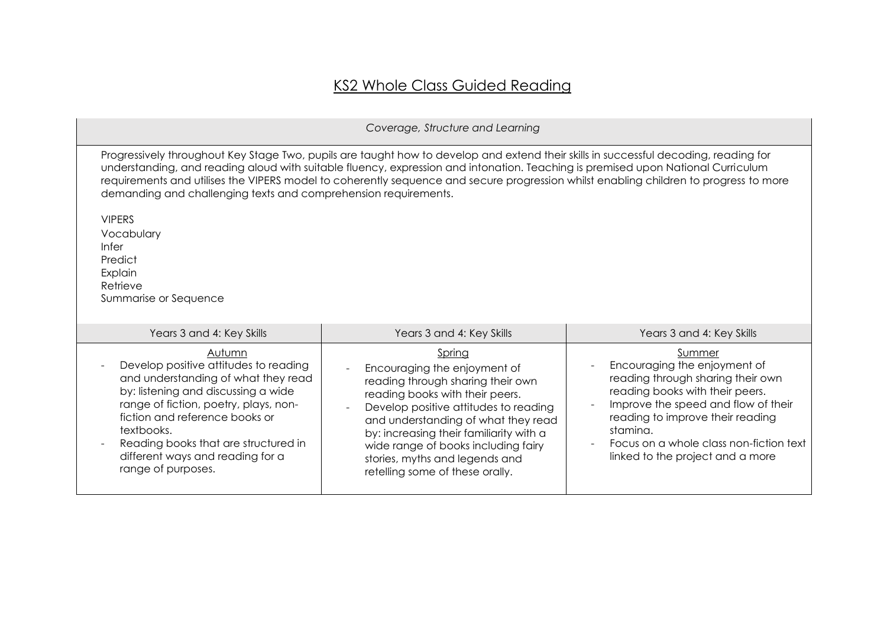## KS2 Whole Class Guided Reading

| Coverage, Structure and Learning                                                                                                                                                                                                                                                                                                                                                                                                                                                     |                                                                                                                                                                                                                                                                                                                                                       |                                                                                                                                                                                                                                                                                      |  |
|--------------------------------------------------------------------------------------------------------------------------------------------------------------------------------------------------------------------------------------------------------------------------------------------------------------------------------------------------------------------------------------------------------------------------------------------------------------------------------------|-------------------------------------------------------------------------------------------------------------------------------------------------------------------------------------------------------------------------------------------------------------------------------------------------------------------------------------------------------|--------------------------------------------------------------------------------------------------------------------------------------------------------------------------------------------------------------------------------------------------------------------------------------|--|
| Progressively throughout Key Stage Two, pupils are taught how to develop and extend their skills in successful decoding, reading for<br>understanding, and reading aloud with suitable fluency, expression and intonation. Teaching is premised upon National Curriculum<br>requirements and utilises the VIPERS model to coherently sequence and secure progression whilst enabling children to progress to more<br>demanding and challenging texts and comprehension requirements. |                                                                                                                                                                                                                                                                                                                                                       |                                                                                                                                                                                                                                                                                      |  |
| <b>VIPERS</b><br>Vocabulary<br><b>Infer</b><br>Predict<br>Explain<br>Retrieve<br>Summarise or Sequence                                                                                                                                                                                                                                                                                                                                                                               |                                                                                                                                                                                                                                                                                                                                                       |                                                                                                                                                                                                                                                                                      |  |
| Years 3 and 4: Key Skills                                                                                                                                                                                                                                                                                                                                                                                                                                                            | Years 3 and 4: Key Skills                                                                                                                                                                                                                                                                                                                             | Years 3 and 4: Key Skills                                                                                                                                                                                                                                                            |  |
| Autumn<br>Develop positive attitudes to reading<br>and understanding of what they read<br>by: listening and discussing a wide<br>range of fiction, poetry, plays, non-<br>fiction and reference books or<br>textbooks.<br>Reading books that are structured in<br>different ways and reading for a<br>range of purposes.                                                                                                                                                             | Spring<br>Encouraging the enjoyment of<br>reading through sharing their own<br>reading books with their peers.<br>Develop positive attitudes to reading<br>and understanding of what they read<br>by: increasing their familiarity with a<br>wide range of books including fairy<br>stories, myths and legends and<br>retelling some of these orally. | Summer<br>Encouraging the enjoyment of<br>reading through sharing their own<br>reading books with their peers.<br>Improve the speed and flow of their<br>reading to improve their reading<br>stamina.<br>Focus on a whole class non-fiction text<br>linked to the project and a more |  |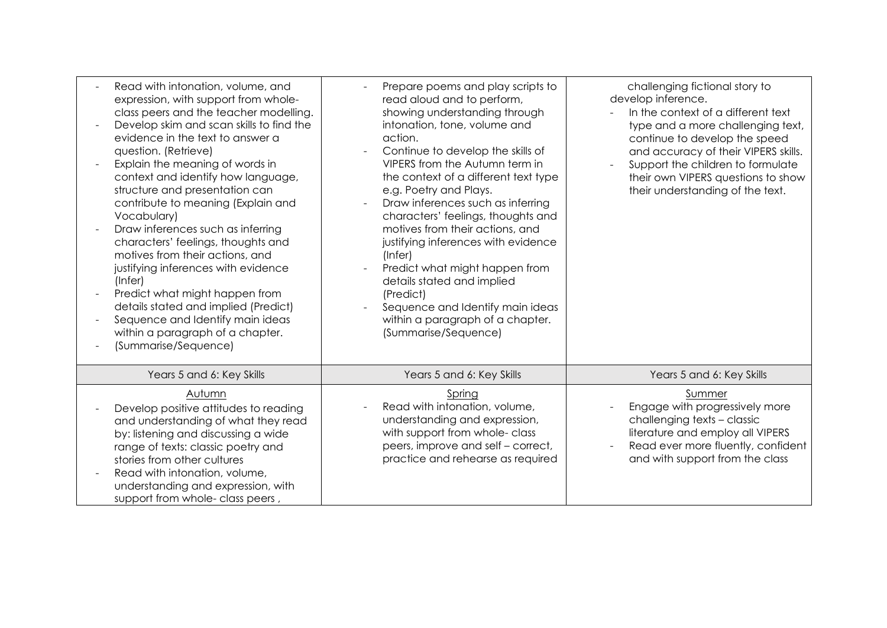| Read with intonation, volume, and<br>expression, with support from whole-<br>class peers and the teacher modelling.<br>Develop skim and scan skills to find the<br>evidence in the text to answer a<br>question. (Retrieve)<br>Explain the meaning of words in<br>context and identify how language,<br>structure and presentation can<br>contribute to meaning (Explain and<br>Vocabulary)<br>Draw inferences such as inferring<br>characters' feelings, thoughts and<br>motives from their actions, and<br>justifying inferences with evidence<br>(Infer)<br>Predict what might happen from<br>details stated and implied (Predict)<br>Sequence and Identify main ideas<br>within a paragraph of a chapter.<br>(Summarise/Sequence) | Prepare poems and play scripts to<br>read aloud and to perform,<br>showing understanding through<br>intonation, tone, volume and<br>action.<br>Continue to develop the skills of<br>VIPERS from the Autumn term in<br>the context of a different text type<br>e.g. Poetry and Plays.<br>Draw inferences such as inferring<br>characters' feelings, thoughts and<br>motives from their actions, and<br>justifying inferences with evidence<br>$($ Infer $)$<br>Predict what might happen from<br>details stated and implied<br>(Predict)<br>Sequence and Identify main ideas<br>within a paragraph of a chapter.<br>(Summarise/Sequence) | challenging fictional story to<br>develop inference.<br>In the context of a different text<br>type and a more challenging text,<br>continue to develop the speed<br>and accuracy of their VIPERS skills.<br>Support the children to formulate<br>their own VIPERS questions to show<br>their understanding of the text. |
|---------------------------------------------------------------------------------------------------------------------------------------------------------------------------------------------------------------------------------------------------------------------------------------------------------------------------------------------------------------------------------------------------------------------------------------------------------------------------------------------------------------------------------------------------------------------------------------------------------------------------------------------------------------------------------------------------------------------------------------|-----------------------------------------------------------------------------------------------------------------------------------------------------------------------------------------------------------------------------------------------------------------------------------------------------------------------------------------------------------------------------------------------------------------------------------------------------------------------------------------------------------------------------------------------------------------------------------------------------------------------------------------|-------------------------------------------------------------------------------------------------------------------------------------------------------------------------------------------------------------------------------------------------------------------------------------------------------------------------|
| Years 5 and 6: Key Skills                                                                                                                                                                                                                                                                                                                                                                                                                                                                                                                                                                                                                                                                                                             | Years 5 and 6: Key Skills                                                                                                                                                                                                                                                                                                                                                                                                                                                                                                                                                                                                               | Years 5 and 6: Key Skills                                                                                                                                                                                                                                                                                               |
| Autumn<br>Develop positive attitudes to reading<br>and understanding of what they read<br>by: listening and discussing a wide<br>range of texts: classic poetry and<br>stories from other cultures<br>Read with intonation, volume,<br>understanding and expression, with<br>support from whole- class peers,                                                                                                                                                                                                                                                                                                                                                                                                                         | Spring<br>Read with intonation, volume,<br>understanding and expression,<br>with support from whole- class<br>peers, improve and self - correct,<br>practice and rehearse as required                                                                                                                                                                                                                                                                                                                                                                                                                                                   | Summer<br>Engage with progressively more<br>challenging texts - classic<br>literature and employ all VIPERS<br>Read ever more fluently, confident<br>and with support from the class                                                                                                                                    |